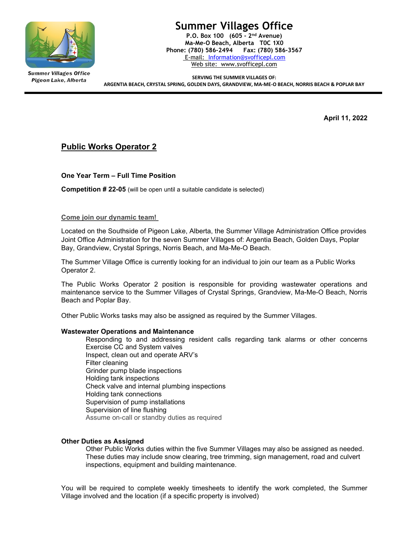

**Summer Villages Office** Pigeon Lake, Alberta

# Summer Villages Office

P.O. Box 100 (605 - 2nd Avenue) Ma-Me-O Beach, Alberta T0C 1X0 Phone: (780) 586-2494 Fax: (780) 586-3567 E-mail: Information@svofficepl.com Web site: www.svofficepl.com

SERVING THE SUMMER VILLAGES OF: ARGENTIA BEACH, CRYSTAL SPRING, GOLDEN DAYS, GRANDVIEW, MA-ME-O BEACH, NORRIS BEACH & POPLAR BAY

April 11, 2022

## Public Works Operator 2

One Year Term – Full Time Position

Competition # 22-05 (will be open until a suitable candidate is selected)

### Come join our dynamic team!

Located on the Southside of Pigeon Lake, Alberta, the Summer Village Administration Office provides Joint Office Administration for the seven Summer Villages of: Argentia Beach, Golden Days, Poplar Bay, Grandview, Crystal Springs, Norris Beach, and Ma-Me-O Beach.

The Summer Village Office is currently looking for an individual to join our team as a Public Works Operator 2.

The Public Works Operator 2 position is responsible for providing wastewater operations and maintenance service to the Summer Villages of Crystal Springs, Grandview, Ma-Me-O Beach, Norris Beach and Poplar Bay.

Other Public Works tasks may also be assigned as required by the Summer Villages.

### Wastewater Operations and Maintenance

Responding to and addressing resident calls regarding tank alarms or other concerns Exercise CC and System valves Inspect, clean out and operate ARV's Filter cleaning Grinder pump blade inspections Holding tank inspections Check valve and internal plumbing inspections Holding tank connections Supervision of pump installations Supervision of line flushing Assume on-call or standby duties as required

### Other Duties as Assigned

Other Public Works duties within the five Summer Villages may also be assigned as needed. These duties may include snow clearing, tree trimming, sign management, road and culvert inspections, equipment and building maintenance.

You will be required to complete weekly timesheets to identify the work completed, the Summer Village involved and the location (if a specific property is involved)